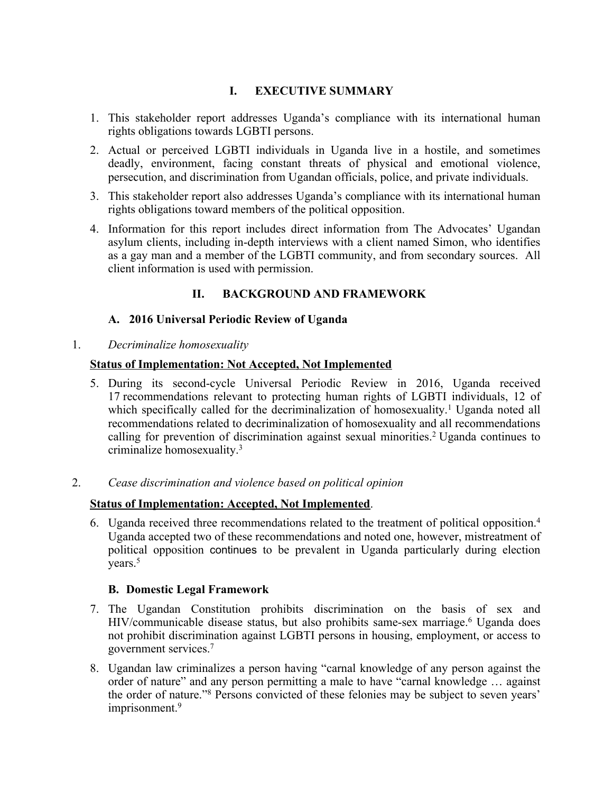# **I. EXECUTIVE SUMMARY**

- 1. This stakeholder repor<sup>t</sup> addresses Uganda'<sup>s</sup> compliance with its international human rights obligations towards LGBTI persons.
- 2. Actual or perceived LGBTI individuals in Uganda live in <sup>a</sup> hostile, and sometimes deadly, environment, facing constant threats of physical and emotional violence, persecution, and discrimination from Ugandan officials, police, and private individuals.
- 3. This stakeholder repor<sup>t</sup> also addresses Uganda'<sup>s</sup> compliance with its international human rights obligations toward members of the political opposition.
- 4. Information for this repor<sup>t</sup> includes direct information from The Advocates' Ugandan asylum clients, including in-depth interviews with <sup>a</sup> client named Simon, who identifies as <sup>a</sup> gay man and <sup>a</sup> member of the LGBTI community, and from secondary sources. All client information is used with permission.

# **II. BACKGROUND AND FRAMEWORK**

# **A. 2016 Universal Periodic Review of Uganda**

1. *Decriminalize homosexuality*

## **Status of Implementation: Not Accepted, Not Implemented**

5. During its second-cycle Universal Periodic Review in 2016, Uganda received 17 recommendations relevant to protecting human rights of LGBTI individuals, 12 of which specifically called for the decriminalization of homosexuality. <sup>1</sup> Uganda noted all recommendations related to decriminalization of homosexuality and all recommendations calling for prevention of discrimination against sexual minorities. <sup>2</sup> Uganda continues to criminalize homosexuality. 3

## 2. *Cease discrimination and violence based on political opinion*

# **Status of Implementation: Accepted, Not Implemented**.

6. Uganda received three recommendations related to the treatment of political opposition. 4 Uganda accepted two of these recommendations and noted one, however, mistreatment of political opposition continues to be prevalent in Uganda particularly during election years. 5

# **B. Domestic Legal Framework**

- 7. The Ugandan Constitution prohibits discrimination on the basis of sex and HIV/communicable disease status, but also prohibits same-sex marriage. <sup>6</sup> Uganda does not prohibit discrimination against LGBTI persons in housing, employment, or access to governmen<sup>t</sup> services. 7
- 8. Ugandan law criminalizes <sup>a</sup> person having "carnal knowledge of any person against the order of nature" and any person permitting <sup>a</sup> male to have "carnal knowledge … against the order of nature."<sup>8</sup> Persons convicted of these felonies may be subject to seven years' imprisonment. 9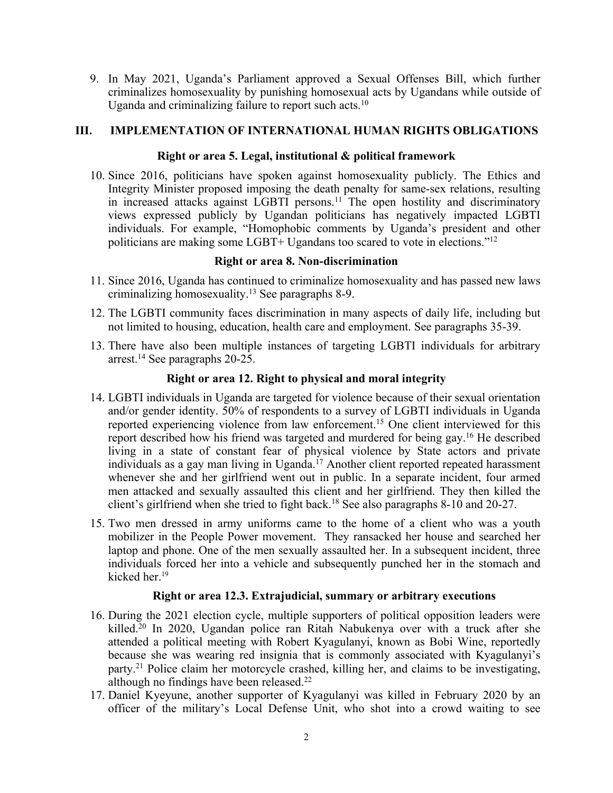9. In May 2021, Uganda'<sup>s</sup> Parliament approved <sup>a</sup> Sexual Offenses Bill, which further criminalizes homosexuality by punishing homosexual acts by Ugandans while outside of Uganda and criminalizing failure to report such acts.<sup>10</sup>

## **III. IMPLEMENTATION OF INTERNATIONAL HUMAN RIGHTS OBLIGATIONS**

#### **Right or area 5. Legal, institutional & political framework**

10. Since 2016, politicians have spoken against homosexuality publicly. The Ethics and Integrity Minister proposed imposing the death penalty for same-sex relations, resulting in increased attacks against LGBTI persons.<sup>11</sup> The open hostility and discriminatory views expressed publicly by Ugandan politicians has negatively impacted LGBTI individuals. For example, "Homophobic comments by Uganda'<sup>s</sup> president and other politicians are making some LGBT+ Ugandans too scared to vote in elections."<sup>12</sup>

### **Right or area 8. Non-discrimination**

- 11. Since 2016, Uganda has continued to criminalize homosexuality and has passed new laws criminalizing homosexuality. 13 See paragraphs 8-9.
- 12. The LGBTI community faces discrimination in many aspects of daily life, including but not limited to housing, education, health care and employment. See paragraphs 35-39.
- 13. There have also been multiple instances of targeting LGBTI individuals for arbitrary arrest. 14 See paragraphs 20-25.

### **Right or area 12. Right to physical and moral integrity**

- 14. LGBTI individuals in Uganda are targeted for violence because of their sexual orientation and/or gender identity. 50% of respondents to <sup>a</sup> survey of LGBTI individuals in Uganda reported experiencing violence from law enforcement. <sup>15</sup> One client interviewed for this repor<sup>t</sup> described how his friend was targeted and murdered for being gay. <sup>16</sup> He described living in <sup>a</sup> state of constant fear of physical violence by State actors and private individuals as <sup>a</sup> gay man living in Uganda. <sup>17</sup> Another client reported repeated harassment whenever she and her girlfriend went out in public. In <sup>a</sup> separate incident, four armed men attacked and sexually assaulted this client and her girlfriend. They then killed the client'<sup>s</sup> girlfriend when she tried to fight back. 18 See also paragraphs 8-10 and 20-27.
- 15. Two men dressed in army uniforms came to the home of <sup>a</sup> client who was <sup>a</sup> youth mobilizer in the People Power movement. They ransacked her house and searched her laptop and phone. One of the men sexually assaulted her. In <sup>a</sup> subsequent incident, three individuals forced her into <sup>a</sup> vehicle and subsequently punched her in the stomach and kicked her. 19

#### **Right or area 12.3. Extrajudicial, summary or arbitrary executions**

- 16. During the 2021 election cycle, multiple supporters of political opposition leaders were killed. 20 In 2020, Ugandan police ran Ritah Nabukenya over with <sup>a</sup> truck after she attended <sup>a</sup> political meeting with Robert Kyagulanyi, known as Bobi Wine, reportedly because she was wearing red insignia that is commonly associated with Kyagulanyi'<sup>s</sup> party. 21 Police claim her motorcycle crashed, killing her, and claims to be investigating, although no findings have been released.<sup>22</sup>
- 17. Daniel Kyeyune, another supporter of Kyagulanyi was killed in February 2020 by an officer of the military'<sup>s</sup> Local Defense Unit, who shot into <sup>a</sup> crowd waiting to see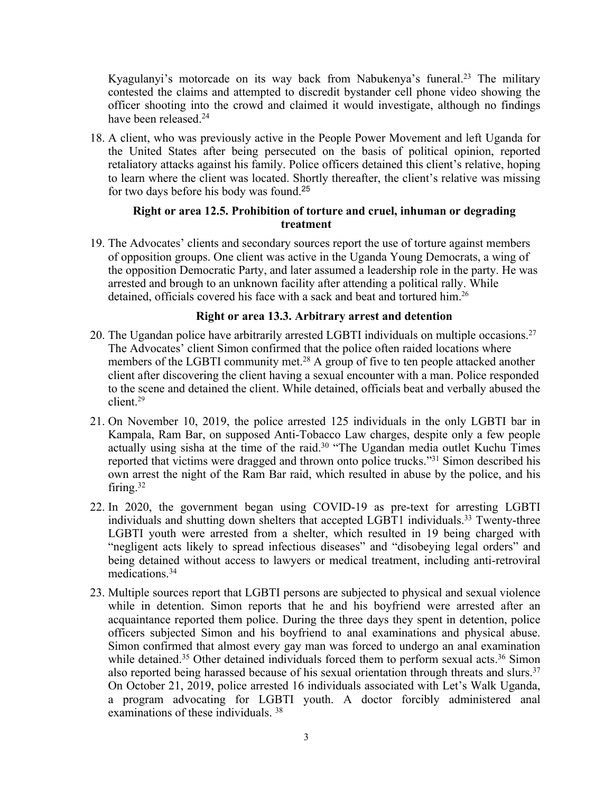Kyagulanyi's motorcade on its way back from Nabukenya's funeral.<sup>23</sup> The military contested the claims and attempted to discredit bystander cell phone video showing the officer shooting into the crowd and claimed it would investigate, although no findings have been released. 24

18. Aclient, who was previously active in the People Power Movement and left Uganda for the United States after being persecuted on the basis of political opinion, reported retaliatory attacks against his family. Police officers detained this client'<sup>s</sup> relative, hoping to learn where the client was located. Shortly thereafter, the client'<sup>s</sup> relative was missing for two days before his body was found. 25

## **Right or area 12.5. Prohibition of torture and cruel, inhuman or degrading treatment**

19. The Advocates' clients and secondary sources repor<sup>t</sup> the use of torture against members of opposition groups. One client was active in the Uganda Young Democrats, <sup>a</sup> wing of the opposition Democratic Party, and later assumed <sup>a</sup> leadership role in the party. He was arrested and brough to an unknown facility after attending <sup>a</sup> political rally. While detained, officials covered his face with a sack and beat and tortured him.<sup>26</sup>

## **Right or area 13.3. Arbitrary arrest and detention**

- 20. The Ugandan police have arbitrarily arrested LGBTI individuals on multiple occasions. 27 The Advocates' client Simon confirmed that the police often raided locations where members of the LGBTI community met. <sup>28</sup> <sup>A</sup> group of five to ten people attacked another client after discovering the client having <sup>a</sup> sexual encounter with <sup>a</sup> man. Police responded to the scene and detained the client. While detained, officials beat and verbally abused the client. 29
- 21. On November 10, 2019, the police arrested 125 individuals in the only LGBTI bar in Kampala, Ram Bar, on supposed Anti-Tobacco Law charges, despite only <sup>a</sup> few people actually using sisha at the time of the raid. 30 "The Ugandan media outlet Kuchu Times reported that victims were dragged and thrown onto police trucks."<sup>31</sup> Simon described his own arrest the night of the Ram Bar raid, which resulted in abuse by the police, and his firing. 32
- 22. In 2020, the governmen<sup>t</sup> began using COVID-19 as pre-text for arresting LGBTI individuals and shutting down shelters that accepted LGBT1 individuals. 33 Twenty-three LGBTI youth were arrested from <sup>a</sup> shelter, which resulted in 19 being charged with "negligent acts likely to spread infectious diseases" and "disobeying legal orders" and being detained without access to lawyers or medical treatment, including anti-retroviral medications. 34
- 23. Multiple sources repor<sup>t</sup> that LGBTI persons are subjected to physical and sexual violence while in detention. Simon reports that he and his boyfriend were arrested after an acquaintance reported them police. During the three days they spen<sup>t</sup> in detention, police officers subjected Simon and his boyfriend to anal examinations and physical abuse. Simon confirmed that almost every gay man was forced to undergo an anal examination while detained.<sup>35</sup> Other detained individuals forced them to perform sexual acts.<sup>36</sup> Simon also reported being harassed because of his sexual orientation through threats and slurs.<sup>37</sup> On October 21, 2019, police arrested 16 individuals associated with Let'<sup>s</sup> Walk Uganda, <sup>a</sup> program advocating for LGBTI youth. A doctor forcibly administered anal examinations of these individuals. <sup>38</sup>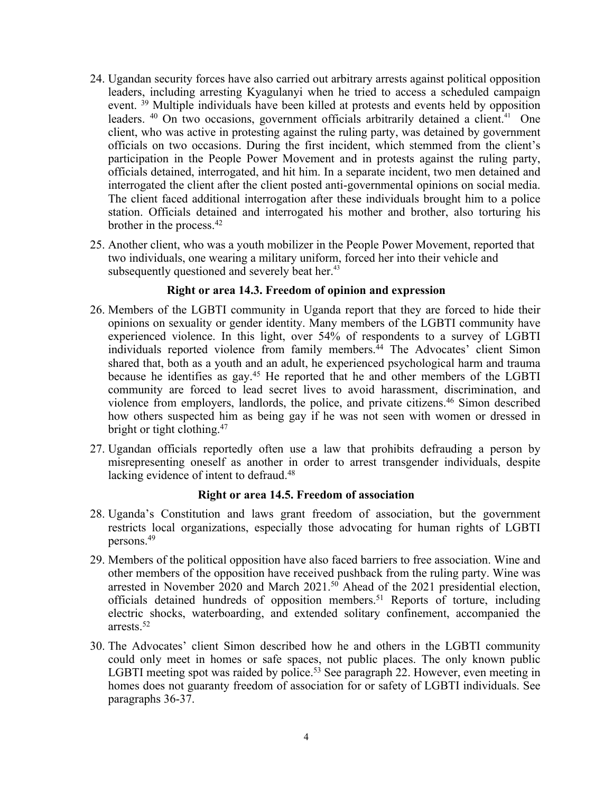- 24. Ugandan security forces have also carried out arbitrary arrests against political opposition leaders, including arresting Kyagulanyi when he tried to access <sup>a</sup> scheduled campaign event. <sup>39</sup> Multiple individuals have been killed at protests and events held by opposition leaders. <sup>40</sup> On two occasions, government officials arbitrarily detained a client.<sup>41</sup> One client, who was active in protesting against the ruling party, was detained by governmen<sup>t</sup> officials on two occasions. During the first incident, which stemmed from the client'<sup>s</sup> participation in the People Power Movement and in protests against the ruling party, officials detained, interrogated, and hit him. In <sup>a</sup> separate incident, two men detained and interrogated the client after the client posted anti-governmental opinions on social media. The client faced additional interrogation after these individuals brought him to <sup>a</sup> police station. Officials detained and interrogated his mother and brother, also torturing his brother in the process. 42
- 25. Another client, who was <sup>a</sup> youth mobilizer in the People Power Movement, reported that two individuals, one wearing <sup>a</sup> military uniform, forced her into their vehicle and subsequently questioned and severely beat her.<sup>43</sup>

## **Right or area 14.3. Freedom of opinion and expression**

- 26. Members of the LGBTI community in Uganda repor<sup>t</sup> that they are forced to hide their opinions on sexuality or gender identity. Many members of the LGBTI community have experienced violence. In this light, over 54% of respondents to <sup>a</sup> survey of LGBTI individuals reported violence from family members. 44 The Advocates' client Simon shared that, both as <sup>a</sup> youth and an adult, he experienced psychological harm and trauma because he identifies as gay. <sup>45</sup> He reported that he and other members of the LGBTI community are forced to lead secret lives to avoid harassment, discrimination, and violence from employers, landlords, the police, and private citizens. 46 Simon described how others suspected him as being gay if he was not seen with women or dressed in bright or tight clothing. 47
- 27. Ugandan officials reportedly often use <sup>a</sup> law that prohibits defrauding <sup>a</sup> person by misrepresenting oneself as another in order to arrest transgender individuals, despite lacking evidence of intent to defraud.<sup>48</sup>

#### **Right or area 14.5. Freedom of association**

- 28. Uganda'<sup>s</sup> Constitution and laws gran<sup>t</sup> freedom of association, but the governmen<sup>t</sup> restricts local organizations, especially those advocating for human rights of LGBTI persons. 49
- 29. Members of the political opposition have also faced barriers to free association. Wine and other members of the opposition have received pushback from the ruling party. Wine was arrested in November 2020 and March 2021. <sup>50</sup> Ahead of the 2021 presidential election, officials detained hundreds of opposition members. <sup>51</sup> Reports of torture, including electric shocks, waterboarding, and extended solitary confinement, accompanied the arrests. 52
- 30. The Advocates' client Simon described how he and others in the LGBTI community could only meet in homes or safe spaces, not public places. The only known public LGBTI meeting spot was raided by police.<sup>53</sup> See paragraph 22. However, even meeting in homes does not guaranty freedom of association for or safety of LGBTI individuals. See paragraphs 36-37.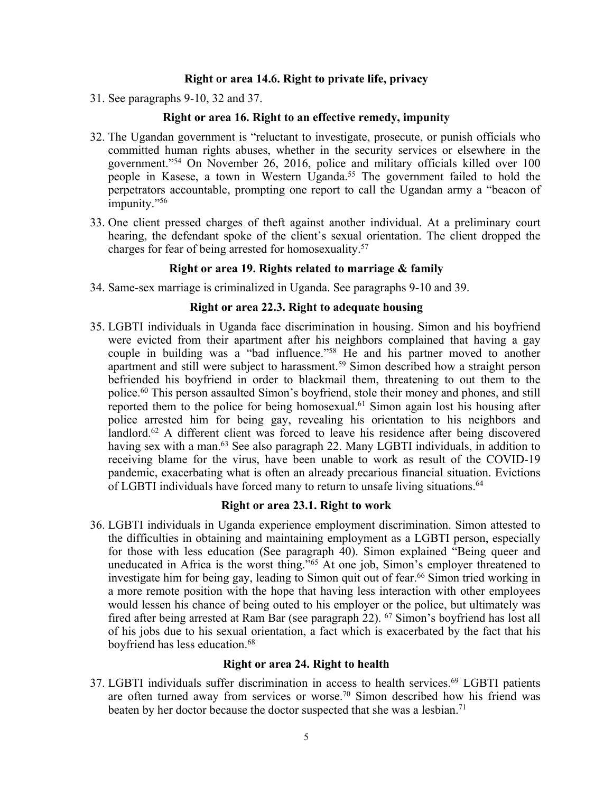#### **Right or area 14.6. Right to private life, privacy**

31. See paragraphs 9-10, 32 and 37.

#### **Right or area 16. Right to an effective remedy, impunity**

- 32. The Ugandan governmen<sup>t</sup> is "reluctant to investigate, prosecute, or punish officials who committed human rights abuses, whether in the security services or elsewhere in the government."<sup>54</sup> On November 26, 2016, police and military officials killed over 100 people in Kasese, <sup>a</sup> town in Western Uganda. 55 The governmen<sup>t</sup> failed to hold the perpetrators accountable, prompting one repor<sup>t</sup> to call the Ugandan army <sup>a</sup> "beacon of impunity."<sup>56</sup>
- 33. One client pressed charges of theft against another individual. At <sup>a</sup> preliminary court hearing, the defendant spoke of the client'<sup>s</sup> sexual orientation. The client dropped the charges for fear of being arrested for homosexuality. 57

#### **Right or area 19. Rights related to marriage & family**

34. Same-sex marriage is criminalized in Uganda. See paragraphs 9-10 and 39.

#### **Right or area 22.3. Right to adequate housing**

35. LGBTI individuals in Uganda face discrimination in housing. Simon and his boyfriend were evicted from their apartment after his neighbors complained that having <sup>a</sup> gay couple in building was <sup>a</sup> "bad influence."<sup>58</sup> He and his partner moved to another apartment and still were subject to harassment. 59 Simon described how <sup>a</sup> straight person befriended his boyfriend in order to blackmail them, threatening to out them to the police. 60 This person assaulted Simon'<sup>s</sup> boyfriend, stole their money and phones, and still reported them to the police for being homosexual. 61 Simon again lost his housing after police arrested him for being gay, revealing his orientation to his neighbors and landlord.<sup>62</sup> A different client was forced to leave his residence after being discovered having sex with <sup>a</sup> man. 63 See also paragraph 22. Many LGBTI individuals, in addition to receiving blame for the virus, have been unable to work as result of the COVID-19 pandemic, exacerbating what is often an already precarious financial situation. Evictions of LGBTI individuals have forced many to return to unsafe living situations. 64

#### **Right or area 23.1. Right to work**

36. LGBTI individuals in Uganda experience employment discrimination. Simon attested to the difficulties in obtaining and maintaining employment as <sup>a</sup> LGBTI person, especially for those with less education (See paragraph 40). Simon explained "Being queer and uneducated in Africa is the worst thing."<sup>65</sup> At one job, Simon's employer threatened to investigate him for being gay, leading to Simon quit out of fear. 66 Simon tried working in <sup>a</sup> more remote position with the hope that having less interaction with other employees would lessen his chance of being outed to his employer or the police, but ultimately was fired after being arrested at Ram Bar (see paragraph 22). 67 Simon'<sup>s</sup> boyfriend has lost all of his jobs due to his sexual orientation, <sup>a</sup> fact which is exacerbated by the fact that his boyfriend has less education. 68

#### **Right or area 24. Right to health**

37. LGBTI individuals suffer discrimination in access to health services. 69 LGBTI patients are often turned away from services or worse. 70 Simon described how his friend was beaten by her doctor because the doctor suspected that she was <sup>a</sup> lesbian. 71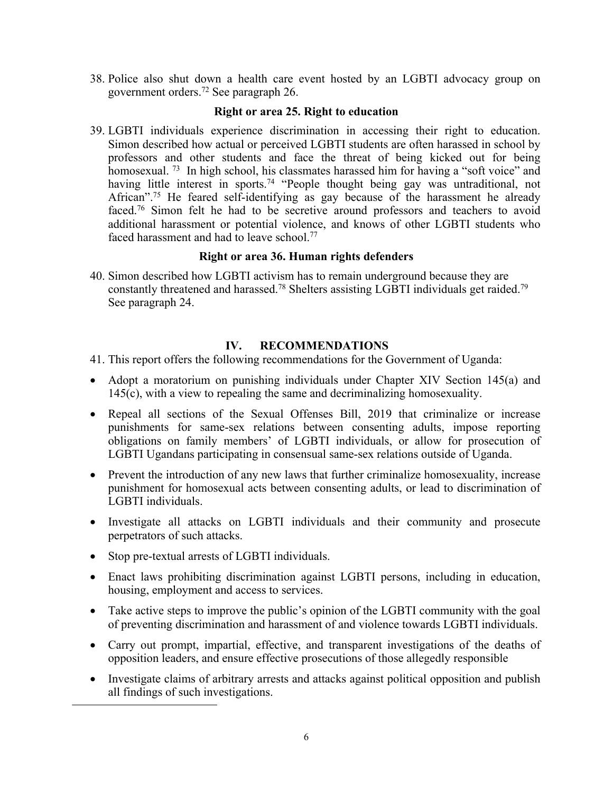38. Police also shut down <sup>a</sup> health care event hosted by an LGBTI advocacy group on governmen<sup>t</sup> orders. 72 See paragraph 26.

### **Right or area 25. Right to education**

39. LGBTI individuals experience discrimination in accessing their right to education. Simon described how actual or perceived LGBTI students are often harassed in school by professors and other students and face the threat of being kicked out for being homosexual.<sup>73</sup> In high school, his classmates harassed him for having a "soft voice" and having little interest in sports.<sup>74</sup> "People thought being gay was untraditional, not African".<sup>75</sup> He feared self-identifying as gay because of the harassment he already faced. 76 Simon felt he had to be secretive around professors and teachers to avoid additional harassment or potential violence, and knows of other LGBTI students who faced harassment and had to leave school.<sup>77</sup>

## **Right or area 36. Human rights defenders**

40. Simon described how LGBTI activism has to remain underground because they are constantly threatened and harassed.<sup>78</sup> Shelters assisting LGBTI individuals get raided.<sup>79</sup> See paragraph 24.

## **IV. RECOMMENDATIONS**

- 41. This repor<sup>t</sup> offers the following recommendations for the Government of Uganda:
- Adopt a moratorium on punishing individuals under Chapter XIV Section 145(a) and 145(c), with <sup>a</sup> view to repealing the same and decriminalizing homosexuality.
- Repeal all sections of the Sexual Offenses Bill, 2019 that criminalize or increase punishments for same-sex relations between consenting adults, impose reporting obligations on family members' of LGBTI individuals, or allow for prosecution of LGBTI Ugandans participating in consensual same-sex relations outside of Uganda.
- Prevent the introduction of any new laws that further criminalize homosexuality, increase punishment for homosexual acts between consenting adults, or lead to discrimination of LGBTI individuals.
- Investigate all attacks on LGBTI individuals and their community and prosecute perpetrators of such attacks.
- Stop pre-textual arrests of LGBTI individuals.
- Enact laws prohibiting discrimination against LGBTI persons, including in education, housing, employment and access to services.
- Take active steps to improve the public'<sup>s</sup> opinion of the LGBTI community with the goal of preventing discrimination and harassment of and violence towards LGBTI individuals.
- Carry out prompt, impartial, effective, and transparent investigations of the deaths of opposition leaders, and ensure effective prosecutions of those allegedly responsible
- Investigate claims of arbitrary arrests and attacks against political opposition and publish all findings of such investigations.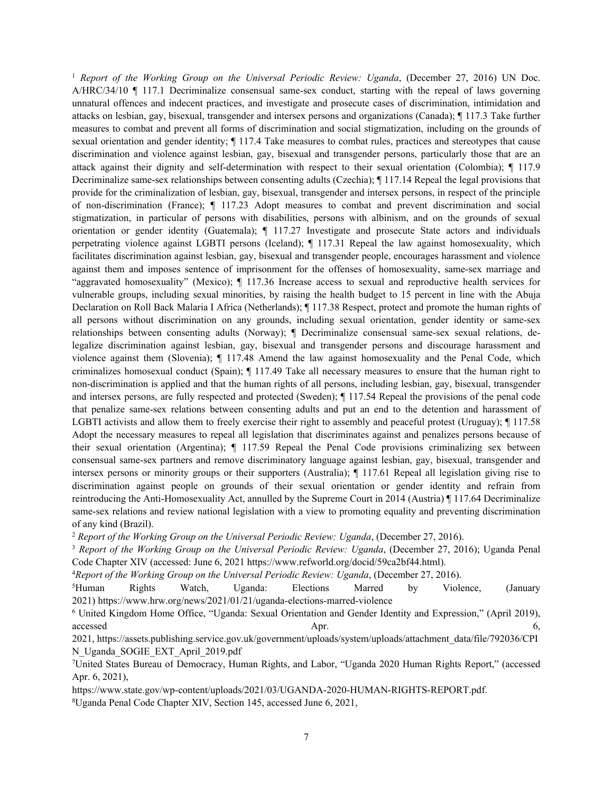1 *Report of the Working Group on the Universal Periodic Review: Uganda*, (December 27, 2016) UN Doc. A/HRC/34/10 ¶ 117.1 Decriminalize consensual same-sex conduct, starting with the repeal of laws governing unnatural offences and indecent practices, and investigate and prosecute cases of discrimination, intimidation and attacks on lesbian, gay, bisexual, transgender and intersex persons and organizations (Canada); ¶ 117.3 Take further measures to combat and preven<sup>t</sup> all forms of discrimination and social stigmatization, including on the grounds of sexual orientation and gender identity; ¶ 117.4 Take measures to combat rules, practices and stereotypes that cause discrimination and violence against lesbian, gay, bisexual and transgender persons, particularly those that are an attack against their dignity and self-determination with respec<sup>t</sup> to their sexual orientation (Colombia); ¶ 117.9 Decriminalize same-sex relationships between consenting adults (Czechia); ¶ 117.14 Repeal the legal provisions that provide for the criminalization of lesbian, gay, bisexual, transgender and intersex persons, in respec<sup>t</sup> of the principle of non-discrimination (France); ¶ 117.23 Adopt measures to combat and preven<sup>t</sup> discrimination and social stigmatization, in particular of persons with disabilities, persons with albinism, and on the grounds of sexual orientation or gender identity (Guatemala); ¶ 117.27 Investigate and prosecute State actors and individuals perpetrating violence against LGBTI persons (Iceland); ¶ 117.31 Repeal the law against homosexuality, which facilitates discrimination against lesbian, gay, bisexual and transgender people, encourages harassment and violence against them and imposes sentence of imprisonment for the offenses of homosexuality, same-sex marriage and "aggravated homosexuality" (Mexico); ¶ 117.36 Increase access to sexual and reproductive health services for vulnerable groups, including sexual minorities, by raising the health budget to 15 percen<sup>t</sup> in line with the Abuja Declaration on Roll Back Malaria I Africa (Netherlands); ¶ 117.38 Respect, protect and promote the human rights of all persons without discrimination on any grounds, including sexual orientation, gender identity or same-sex relationships between consenting adults (Norway); ¶ Decriminalize consensual same-sex sexual relations, delegalize discrimination against lesbian, gay, bisexual and transgender persons and discourage harassment and violence against them (Slovenia); ¶ 117.48 Amend the law against homosexuality and the Penal Code, which criminalizes homosexual conduct (Spain); ¶ 117.49 Take all necessary measures to ensure that the human right to non-discrimination is applied and that the human rights of all persons, including lesbian, gay, bisexual, transgender and intersex persons, are fully respected and protected (Sweden); ¶ 117.54 Repeal the provisions of the penal code that penalize same-sex relations between consenting adults and pu<sup>t</sup> an end to the detention and harassment of LGBTI activists and allow them to freely exercise their right to assembly and peaceful protest (Uruguay); ¶ 117.58 Adopt the necessary measures to repeal all legislation that discriminates against and penalizes persons because of their sexual orientation (Argentina); ¶ 117.59 Repeal the Penal Code provisions criminalizing sex between consensual same-sex partners and remove discriminatory language against lesbian, gay, bisexual, transgender and intersex persons or minority groups or their supporters (Australia); ¶ 117.61 Repeal all legislation giving rise to discrimination against people on grounds of their sexual orientation or gender identity and refrain from reintroducing the Anti-Homosexuality Act, annulled by the Supreme Court in 2014 (Austria) ¶ 117.64 Decriminalize same-sex relations and review national legislation with <sup>a</sup> view to promoting equality and preventing discrimination of any kind (Brazil).

2 *Report of the Working Group on the Universal Periodic Review: Uganda*, (December 27, 2016).

3 *Report of the Working Group on the Universal Periodic Review: Uganda*, (December 27, 2016); Uganda Penal Code Chapter XIV (accessed: June 6, 2021 <https://www.refworld.org/docid/59ca2bf44.html>).

4 *Report of the Working Group on the Universal Periodic Review: Uganda*, (December 27, 2016).

<sup>5</sup>Human Rights Watch, Uganda: Elections Marred by Violence, (January 2021) <https://www.hrw.org/news/2021/01/21/uganda-elections-marred-violence>

<sup>6</sup> United Kingdom Home Office, "Uganda: Sexual Orientation and Gender Identity and Expression," (April 2019), accessed **Apr.** 6,

2021, [https://assets.publishing.service.gov.uk/government/uploads/system/uploads/attachment\\_data/file/792036/CPI](https://assets.publishing.service.gov.uk/government/uploads/system/uploads/attachment_data/file/792036/CPIN_Uganda_SOGIE_EXT_April_2019.pdf) [N\\_Uganda\\_SOGIE\\_EXT\\_April\\_2019.pdf](https://assets.publishing.service.gov.uk/government/uploads/system/uploads/attachment_data/file/792036/CPIN_Uganda_SOGIE_EXT_April_2019.pdf)

<sup>7</sup>United States Bureau of Democracy, Human Rights, and Labor, "Uganda 2020 Human Rights Report," (accessed Apr. 6, 2021),

<https://www.state.gov/wp-content/uploads/2021/03/UGANDA-2020-HUMAN-RIGHTS-REPORT.pd>f. <sup>8</sup>Uganda Penal Code Chapter XIV, Section 145, accessed June 6, 2021,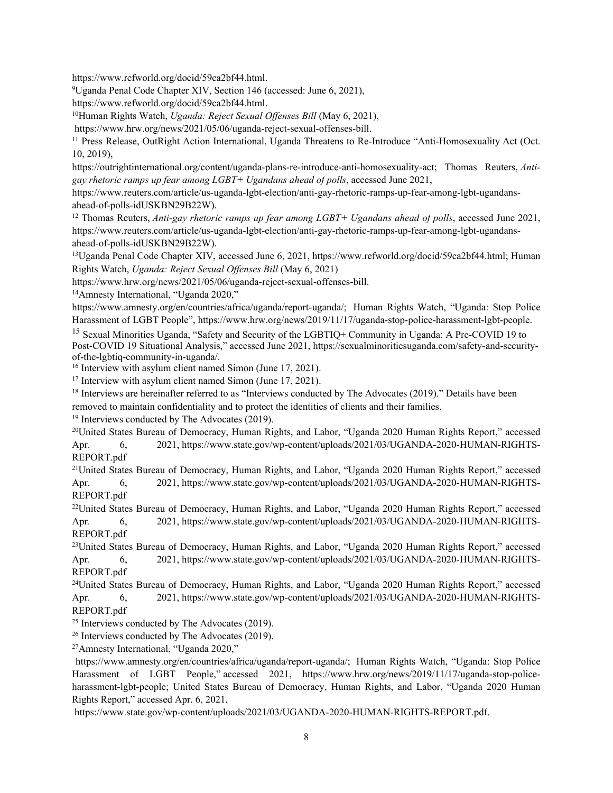<https://www.refworld.org/docid/59ca2bf44.html>.

<sup>9</sup>Uganda Penal Code Chapter XIV, Section 146 (accessed: June 6, 2021),

<https://www.refworld.org/docid/59ca2bf44.html>.

<sup>10</sup>Human Rights Watch, *Uganda: Reject Sexual Offenses Bill* (May 6, 2021),

<https://www.hrw.org/news/2021/05/06/uganda-reject-sexual-offenses-bill>.

<sup>11</sup> Press Release, OutRight Action International, Uganda Threatens to Re-Introduce "Anti-Homosexuality Act (Oct. 10, 2019),

https://outrightinternational.org/content/uganda-plans-re-introduce-anti-homosexuality-act; Thomas Reuters, *Antigay rhetoric ramps up fear among LGBT+ Ugandans ahead of polls*, accessed June 2021,

https://www.reuters.com/article/us-uganda-lgbt-election/anti-gay-rhetoric-ramps-up-fear-among-lgbt-ugandansahead-of-polls-idUSKBN29B22W).

12 Thomas Reuters, *Anti-gay rhetoric ramps up fear among LGBT+ Ugandans ahead of polls*, accessed June 2021, [https://www.reuters.com/article/us-uganda-lgbt-election/anti-gay-rhetoric-ramps-up-fear-among-lgbt-ugandans](https://www.reuters.com/article/us-uganda-lgbt-election/anti-gay-rhetoric-ramps-up-fear-among-lgbt-ugandans-ahead-of-polls-idUSKBN29B22W))[ahead-of-polls-idUSKBN29B22W\)](https://www.reuters.com/article/us-uganda-lgbt-election/anti-gay-rhetoric-ramps-up-fear-among-lgbt-ugandans-ahead-of-polls-idUSKBN29B22W)).

<sup>13</sup>Uganda Penal Code Chapter XIV, accessed June 6, 2021, <https://www.refworld.org/docid/59ca2bf44.html>; Human Rights Watch, *Uganda: Reject Sexual Offenses Bill* (May 6, 2021)

<https://www.hrw.org/news/2021/05/06/uganda-reject-sexual-offenses-bill>.

<sup>14</sup>Amnesty International, "Uganda 2020,"

<https://www.amnesty.org/en/countries/africa/uganda/report-uganda/>; Human Rights Watch, "Uganda: Stop Police Harassment of LGBT People", https://www.hrw.org/news/2019/11/17/uganda-stop-police-harassment-lgbt-people.

<sup>15</sup> Sexual Minorities Uganda, "Safety and Security of the LGBTIQ+ Community in Uganda: A Pre-COVID 19 to Post-COVID 19 Situational Analysis," accessed June 2021, https://sexualminoritiesuganda.com/safety-and-securityof-the-lgbtiq-community-in-uganda/.

<sup>16</sup> Interview with asylum client named Simon (June 17, 2021).

<sup>17</sup> Interview with asylum client named Simon (June 17, 2021).

<sup>18</sup> Interviews are hereinafter referred to as "Interviews conducted by The Advocates (2019)." Details have been removed to maintain confidentiality and to protect the identities of clients and their families.

19 Interviews conducted by The Advocates (2019).

<sup>20</sup>United States Bureau of Democracy, Human Rights, and Labor, "Uganda 2020 Human Rights Report," accessed Apr. 6, 2021, [https://www.state.gov/wp-content/uploads/2021/03/UGANDA-2020-HUMAN-RIGHTS-](https://www.state.gov/wp-content/uploads/2021/03/UGANDA-2020-HUMAN-RIGHTS-REPORT.pdf)[REPORT.pdf](https://www.state.gov/wp-content/uploads/2021/03/UGANDA-2020-HUMAN-RIGHTS-REPORT.pdf)

<sup>21</sup>United States Bureau of Democracy, Human Rights, and Labor, "Uganda 2020 Human Rights Report," accessed Apr. 6, 2021, [https://www.state.gov/wp-content/uploads/2021/03/UGANDA-2020-HUMAN-RIGHTS-](https://www.state.gov/wp-content/uploads/2021/03/UGANDA-2020-HUMAN-RIGHTS-REPORT.pdf)[REPORT.pdf](https://www.state.gov/wp-content/uploads/2021/03/UGANDA-2020-HUMAN-RIGHTS-REPORT.pdf)

<sup>22</sup>United States Bureau of Democracy, Human Rights, and Labor, "Uganda 2020 Human Rights Report," accessed Apr. 6, 2021, [https://www.state.gov/wp-content/uploads/2021/03/UGANDA-2020-HUMAN-RIGHTS-](https://www.state.gov/wp-content/uploads/2021/03/UGANDA-2020-HUMAN-RIGHTS-REPORT.pdf)[REPORT.pdf](https://www.state.gov/wp-content/uploads/2021/03/UGANDA-2020-HUMAN-RIGHTS-REPORT.pdf)

<sup>23</sup>United States Bureau of Democracy, Human Rights, and Labor, "Uganda 2020 Human Rights Report," accessed Apr. 6, 2021, [https://www.state.gov/wp-content/uploads/2021/03/UGANDA-2020-HUMAN-RIGHTS-](https://www.state.gov/wp-content/uploads/2021/03/UGANDA-2020-HUMAN-RIGHTS-REPORT.pdf)[REPORT.pdf](https://www.state.gov/wp-content/uploads/2021/03/UGANDA-2020-HUMAN-RIGHTS-REPORT.pdf)

<sup>24</sup>United States Bureau of Democracy, Human Rights, and Labor, "Uganda 2020 Human Rights Report," accessed Apr. 6, 2021, [https://www.state.gov/wp-content/uploads/2021/03/UGANDA-2020-HUMAN-RIGHTS-](https://www.state.gov/wp-content/uploads/2021/03/UGANDA-2020-HUMAN-RIGHTS-REPORT.pdf)[REPORT.pdf](https://www.state.gov/wp-content/uploads/2021/03/UGANDA-2020-HUMAN-RIGHTS-REPORT.pdf)

<sup>25</sup> Interviews conducted by The Advocates (2019).

<sup>26</sup> Interviews conducted by The Advocates (2019).

<sup>27</sup>Amnesty International, "Uganda 2020,"

<https://www.amnesty.org/en/countries/africa/uganda/report-uganda/>; Human Rights Watch, "Uganda: Stop Police Harassment of LGBT People," accessed 2021, https://www.hrw.org/news/2019/11/17/uganda-stop-policeharassment-lgbt-people; United States Bureau of Democracy, Human Rights, and Labor, "Uganda 2020 Human Rights Report," accessed Apr. 6, 2021,

<https://www.state.gov/wp-content/uploads/2021/03/UGANDA-2020-HUMAN-RIGHTS-REPORT.pdf>.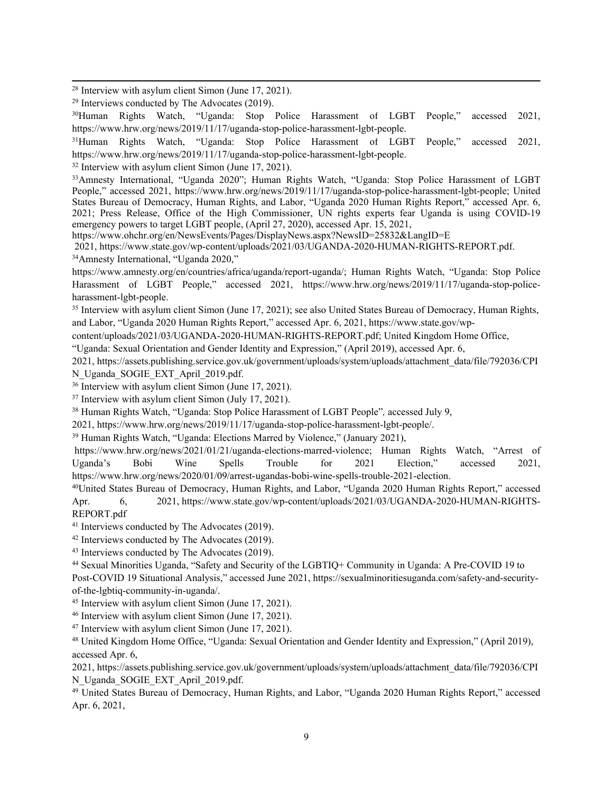<sup>28</sup> Interview with asylum client Simon (June 17, 2021).

<sup>30</sup>Human Rights Watch, "Uganda: Stop Police Harassment of LGBT People," accessed 2021, https://www.hrw.org/news/2019/11/17/uganda-stop-police-harassment-lgbt-people.

<sup>31</sup>Human Rights Watch, "Uganda: Stop Police Harassment of LGBT People," accessed 2021, https://www.hrw.org/news/2019/11/17/uganda-stop-police-harassment-lgbt-people.

<sup>32</sup> Interview with asylum client Simon (June 17, 2021).

<sup>33</sup>Amnesty International, "Uganda 2020"; Human Rights Watch, "Uganda: Stop Police Harassment of LGBT People," accessed 2021, https://www.hrw.org/news/2019/11/17/uganda-stop-police-harassment-lgbt-people; United States Bureau of Democracy, Human Rights, and Labor, "Uganda 2020 Human Rights Report," accessed Apr. 6, 2021; Press Release, Office of the High Commissioner, UN rights experts fear Uganda is using COVID-19 emergency powers to target LGBT people, (April 27, 2020), accessed Apr. 15, 2021,

<https://www.ohchr.org/en/NewsEvents/Pages/DisplayNews.aspx?NewsID=25832&LangID=E>

2021, <https://www.state.gov/wp-content/uploads/2021/03/UGANDA-2020-HUMAN-RIGHTS-REPORT.pdf>. <sup>34</sup>Amnesty International, "Uganda 2020,"

https://www.amnesty.org/en/countries/africa/uganda/report-uganda/; Human Rights Watch, "Uganda: Stop Police Harassment of LGBT People," accessed 2021, https://www.hrw.org/news/2019/11/17/uganda-stop-policeharassment-lgbt-people.

<sup>35</sup> Interview with asylum client Simon (June 17, 2021); see also United States Bureau of Democracy, Human Rights, and Labor, "Uganda 2020 Human Rights Report," accessed Apr. 6, 2021, [https://www.state.gov/wp-](https://www.state.gov/wp-content/uploads/2021/03/UGANDA-2020-HUMAN-RIGHTS-REPORT.pdf)

[content/uploads/2021/03/UGANDA-2020-HUMAN-RIGHTS-REPORT.pdf](https://www.state.gov/wp-content/uploads/2021/03/UGANDA-2020-HUMAN-RIGHTS-REPORT.pdf); United Kingdom Home Office,

"Uganda: Sexual Orientation and Gender Identity and Expression," (April 2019), accessed Apr. 6,

2021, [https://assets.publishing.service.gov.uk/government/uploads/system/uploads/attachment\\_data/file/792036/CPI](https://assets.publishing.service.gov.uk/government/uploads/system/uploads/attachment_data/file/792036/CPIN_Uganda_SOGIE_EXT_April_2019.pdf) [N\\_Uganda\\_SOGIE\\_EXT\\_April\\_2019.pdf](https://assets.publishing.service.gov.uk/government/uploads/system/uploads/attachment_data/file/792036/CPIN_Uganda_SOGIE_EXT_April_2019.pdf).

<sup>36</sup> Interview with asylum client Simon (June 17, 2021).

37 Interview with asylum client Simon (July 17, 2021).

<sup>38</sup> Human Rights Watch, "Uganda: Stop Police Harassment of LGBT People"*,* accessed July 9,

2021, <https://www.hrw.org/news/2019/11/17/uganda-stop-police-harassment-lgbt-people/>.

<sup>39</sup> Human Rights Watch, "Uganda: Elections Marred by Violence," (January 2021),

<https://www.hrw.org/news/2021/01/21/uganda-elections-marred-violence>; Human Rights Watch, "Arrest of Uganda'<sup>s</sup> Bobi Wine Spells Trouble for 2021 Election," accessed 2021, https://www.hrw.org/news/2020/01/09/arrest-ugandas-bobi-wine-spells-trouble-2021-election.

<sup>40</sup>United States Bureau of Democracy, Human Rights, and Labor, "Uganda 2020 Human Rights Report," accessed Apr. 6, 2021, [https://www.state.gov/wp-content/uploads/2021/03/UGANDA-2020-HUMAN-RIGHTS-](https://www.state.gov/wp-content/uploads/2021/03/UGANDA-2020-HUMAN-RIGHTS-REPORT.pdf)[REPORT.pdf](https://www.state.gov/wp-content/uploads/2021/03/UGANDA-2020-HUMAN-RIGHTS-REPORT.pdf)

<sup>41</sup> Interviews conducted by The Advocates (2019).

<sup>42</sup> Interviews conducted by The Advocates (2019).

<sup>43</sup> Interviews conducted by The Advocates (2019).

44 Sexual Minorities Uganda, "Safety and Security of the LGBTIQ+ Community in Uganda: A Pre-COVID 19 to Post-COVID 19 Situational Analysis," accessed June 2021, https://sexualminoritiesuganda.com/safety-and-securityof-the-lgbtiq-community-in-uganda/.

<sup>45</sup> Interview with asylum client Simon (June 17, 2021).

46 Interview with asylum client Simon (June 17, 2021).

<sup>47</sup> Interview with asylum client Simon (June 17, 2021).

<sup>48</sup> United Kingdom Home Office, "Uganda: Sexual Orientation and Gender Identity and Expression," (April 2019), accessed Apr. 6,

2021, [https://assets.publishing.service.gov.uk/government/uploads/system/uploads/attachment\\_data/file/792036/CPI](https://assets.publishing.service.gov.uk/government/uploads/system/uploads/attachment_data/file/792036/CPIN_Uganda_SOGIE_EXT_April_2019.pdf) [N\\_Uganda\\_SOGIE\\_EXT\\_April\\_2019.pdf](https://assets.publishing.service.gov.uk/government/uploads/system/uploads/attachment_data/file/792036/CPIN_Uganda_SOGIE_EXT_April_2019.pdf).

<sup>49</sup> United States Bureau of Democracy, Human Rights, and Labor, "Uganda 2020 Human Rights Report," accessed Apr. 6, 2021,

<sup>29</sup> Interviews conducted by The Advocates (2019).